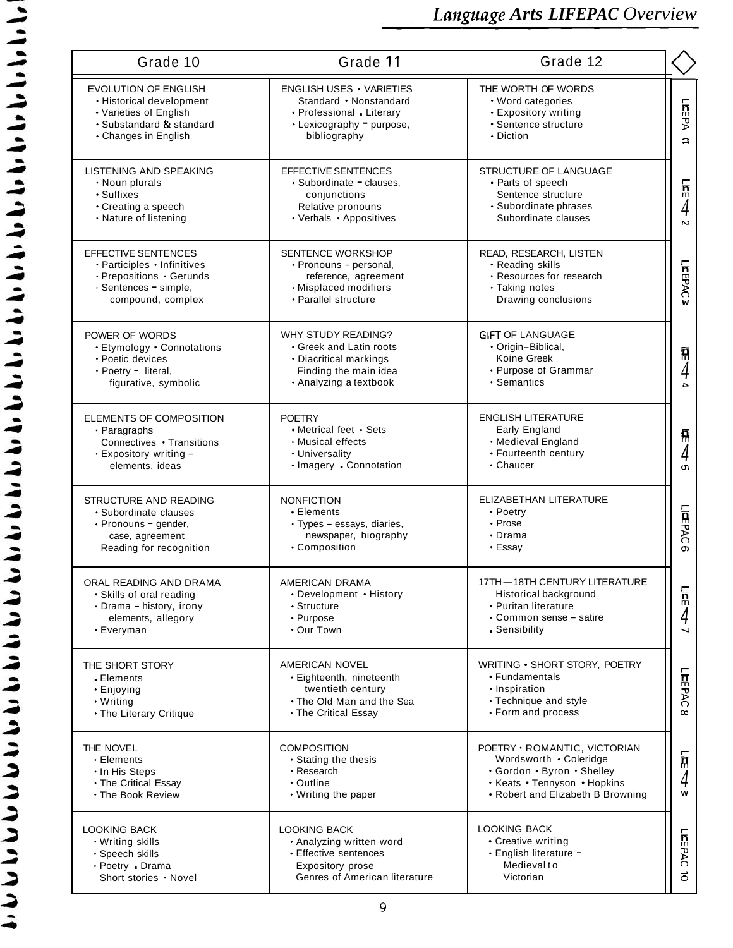| Grade 10                                                                                                                              | Grade 11                                                                                                                          | Grade 12                                                                                                                                                  |                                   |
|---------------------------------------------------------------------------------------------------------------------------------------|-----------------------------------------------------------------------------------------------------------------------------------|-----------------------------------------------------------------------------------------------------------------------------------------------------------|-----------------------------------|
| <b>EVOLUTION OF ENGLISH</b><br>• Historical development<br>• Varieties of English<br>• Substandard & standard<br>• Changes in English | <b>ENGLISH USES • VARIETIES</b><br>Standard • Nonstandard<br>• Professional Literary<br>• Lexicography = purpose,<br>bibliography | THE WORTH OF WORDS<br>• Word categories<br>• Expository writing<br>• Sentence structure<br>• Diction                                                      | LIEEPA<br>$\Delta$                |
| LISTENING AND SPEAKING<br>• Noun plurals<br>· Suffixes<br>• Creating a speech<br>· Nature of listening                                | EFFECTIVE SENTENCES<br>• Subordinate - clauses.<br>conjunctions<br>Relative pronouns<br>• Verbals • Appositives                   | STRUCTURE OF LANGUAGE<br>• Parts of speech<br>Sentence structure<br>· Subordinate phrases<br>Subordinate clauses                                          | $\frac{1}{10}$<br>4<br>$\sim$     |
| <b>EFFECTIVE SENTENCES</b><br>· Participles · Infinitives<br>· Prepositions · Gerunds<br>· Sentences - simple,<br>compound, complex   | <b>SENTENCE WORKSHOP</b><br>• Pronouns - personal,<br>reference, agreement<br>• Misplaced modifiers<br>• Parallel structure       | READ, RESEARCH, LISTEN<br>• Reading skills<br>• Resources for research<br>• Taking notes<br>Drawing conclusions                                           | LIEFPAC<br>w                      |
| POWER OF WORDS<br>• Etymology • Connotations<br>· Poetic devices<br>· Poetry - literal,<br>figurative, symbolic                       | WHY STUDY READING?<br>• Greek and Latin roots<br>• Diacritical markings<br>Finding the main idea<br>• Analyzing a textbook        | <b>GIFT OF LANGUAGE</b><br>• Origin-Biblical,<br>Koine Greek<br>• Purpose of Grammar<br>• Semantics                                                       | 툚<br>4<br>$\overline{a}$          |
| ELEMENTS OF COMPOSITION<br>$\cdot$ Paragraphs<br>Connectives • Transitions<br>· Expository writing -<br>elements, ideas               | <b>POETRY</b><br>• Metrical feet • Sets<br>• Musical effects<br>• Universality<br>· Imagery Connotation                           | <b>ENGLISH LITERATURE</b><br>Early England<br>• Medieval England<br>• Fourteenth century<br>$\cdot$ Chaucer                                               | $\frac{5}{m}$<br>4<br>CT.         |
| STRUCTURE AND READING<br>· Subordinate clauses<br>· Pronouns - gender,<br>case, agreement<br>Reading for recognition                  | <b>NONFICTION</b><br>• Elements<br>· Types - essays, diaries,<br>newspaper, biography<br>• Composition                            | ELIZABETHAN LITERATURE<br>• Poetry<br>• Prose<br>$\cdot$ Drama<br>• Essay                                                                                 | LIFFPAC<br>C)                     |
| ORAL READING AND DRAMA<br>· Skills of oral reading<br>· Drama - history, irony<br>elements, allegory<br>• Everyman                    | AMERICAN DRAMA<br>· Development · History<br>• Structure<br>• Purpose<br>• Our Town                                               | 17TH-18TH CENTURY LITERATURE<br>Historical background<br>• Puritan literature<br>• Common sense - satire<br>Sensibility                                   | $\overline{\mathbf{h}}$<br>4<br>┙ |
| THE SHORT STORY<br>- Elements<br>• Enjoying<br>• Writing<br>. The Literary Critique                                                   | AMERICAN NOVEL<br>· Eighteenth, nineteenth<br>twentieth century<br>• The Old Man and the Sea<br>• The Critical Essay              | WRITING • SHORT STORY, POETRY<br>• Fundamentals<br>• Inspiration<br>• Technique and style<br>• Form and process                                           | LIREPAC<br>$\infty$               |
| THE NOVEL<br>• Elements<br>. In His Steps<br>• The Critical Essay<br>. The Book Review                                                | <b>COMPOSITION</b><br>• Stating the thesis<br>• Research<br>• Outline<br>• Writing the paper                                      | POETRY · ROMANTIC, VICTORIAN<br>Wordsworth . Coleridge<br>· Gordon · Byron · Shelley<br>• Keats • Tennyson • Hopkins<br>• Robert and Elizabeth B Browning | $\frac{1}{10}$<br>4<br>W          |
| <b>LOOKING BACK</b><br>• Writing skills<br>· Speech skills<br>• Poetry Drama<br>Short stories . Novel                                 | <b>LOOKING BACK</b><br>• Analyzing written word<br>• Effective sentences<br>Expository prose<br>Genres of American literature     | <b>LOOKING BACK</b><br>• Creative writing<br>· English literature -<br>Medievalto<br>Victorian                                                            | LIAEPAC<br>$\vec{0}$              |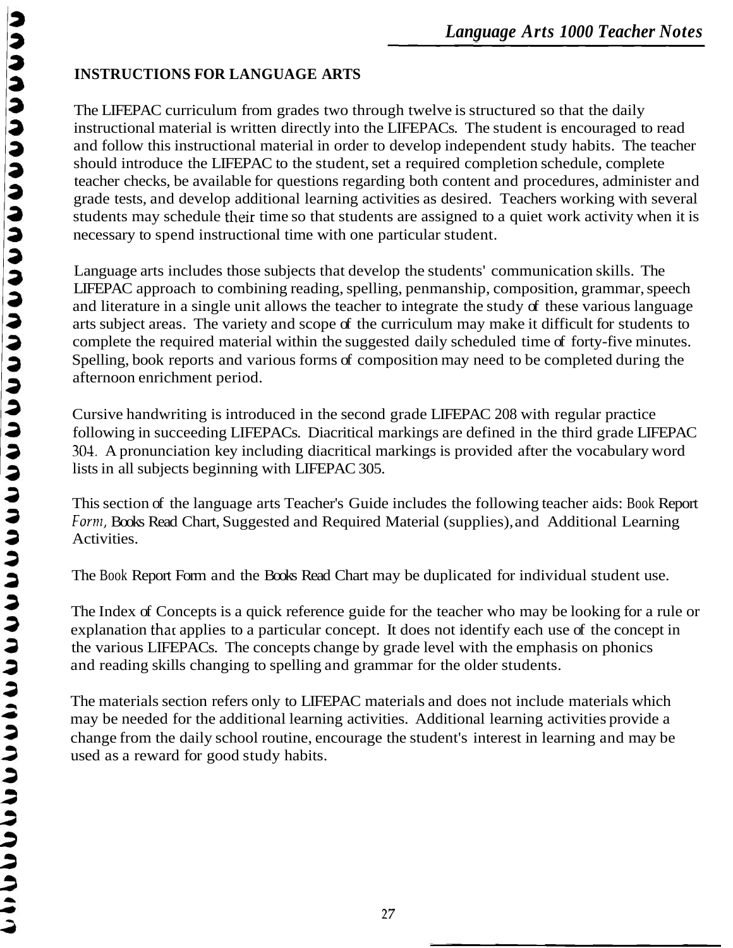# **INSTRUCTIONS FOR LANGUAGE ARTS**

The LIFEPAC curriculum from grades two through twelve is structured so that the daily instructional material is written directly into the LIFEPACs. The student is encouraged to read and follow this instructional material in order to develop independent study habits. The teacher should introduce the LIFEPAC to the student, set a required completion schedule, complete teacher checks, be available for questions regarding both content and procedures, administer and grade tests, and develop additional learning activities as desired. Teachers working with several students may schedule their time so that students are assigned to a quiet work activity when it is necessary to spend instructional time with one particular student.

Language arts includes those subjects that develop the students' communication skills. The LIFEPAC approach to combining reading, spelling, penmanship, composition, grammar, speech and literature in a single unit allows the teacher to integrate the study of these various language arts subject areas. The variety and scope of the curriculum may make it difficult for students to complete the required material within the suggested daily scheduled time of forty-five minutes. Spelling, book reports and various forms of composition may need to be completed during the afternoon enrichment period.

Cursive handwriting is introduced in the second grade LIFEPAC 208 with regular practice following in succeeding LIFEPACs. Diacritical markings are defined in the third grade LIFEPAC 304. A pronunciation key including diacritical markings is provided after the vocabulary word lists in all subjects beginning with LIFEPAC 305.

This section of the language arts Teacher's Guide includes the following teacher aids: Book Report Form, Books Read Chart, Suggested and Required Material (supplies), and Additional Learning Activities.

The Book Report Form and the Books Read Chart may be duplicated for individual student use.

The Index of Concepts is a quick reference guide for the teacher who may be looking for a rule or explanation that applies to a particular concept. It does not identify each use of the concept in the various LIFEPACs. The concepts change by grade level with the emphasis on phonics and reading skills changing to spelling and grammar for the older students.

The materials section refers only to LIFEPAC materials and does not include materials which may be needed for the additional learning activities. Additional learning activities provide a change from the daily school routine, encourage the student's interest in learning and may be used as a reward for good study habits.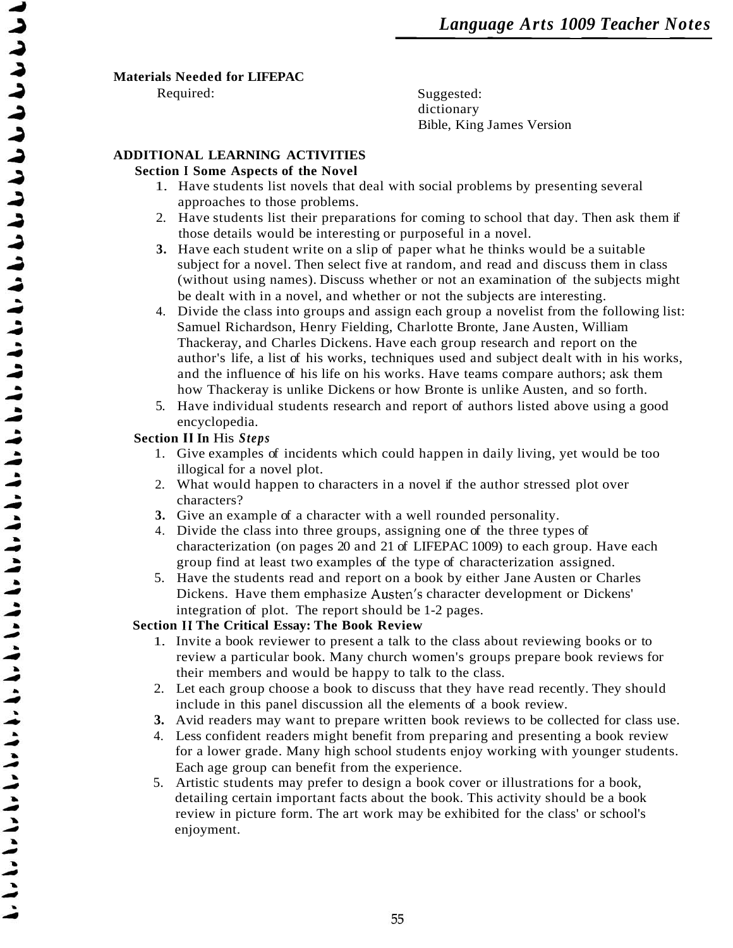#### **Materials Needed for LIFEPAC**

Required: Suggested: dictionary Bible, King James Version

## **ADDITIONAL LEARNING ACTIVITIES**

#### **Section I Some Aspects of the Novel**

- 1. Have students list novels that deal with social problems by presenting several approaches to those problems.
- 2. Have students list their preparations for coming to school that day. Then ask them if those details would be interesting or purposeful in a novel.
- **3.** Have each student write on a slip of paper what he thinks would be a suitable subject for a novel. Then select five at random, and read and discuss them in class (without using names). Discuss whether or not an examination of the subjects might be dealt with in a novel, and whether or not the subjects are interesting.
- 4. Divide the class into groups and assign each group a novelist from the following list: Samuel Richardson, Henry Fielding, Charlotte Bronte, Jane Austen, William Thackeray, and Charles Dickens. Have each group research and report on the author's life, a list of his works, techniques used and subject dealt with in his works, and the influence of his life on his works. Have teams compare authors; ask them how Thackeray is unlike Dickens or how Bronte is unlike Austen, and so forth.
- 5. Have individual students research and report of authors listed above using a good encyclopedia.

### **Section I1 In** His *Steps*

- 1. Give examples of incidents which could happen in daily living, yet would be too illogical for a novel plot.
- 2. What would happen to characters in a novel if the author stressed plot over characters?
- **3.** Give an example of a character with a well rounded personality.
- 4. Divide the class into three groups, assigning one of the three types of characterization (on pages 20 and 21 of LIFEPAC 1009) to each group. Have each group find at least two examples of the type of characterization assigned.
- 5. Have the students read and report on a book by either Jane Austen or Charles Dickens. Have them emphasize Austen's character development or Dickens' integration of plot. The report should be 1-2 pages.

## **Section I1 The Critical Essay: The Book Review**

- 1. Invite a book reviewer to present a talk to the class about reviewing books or to review a particular book. Many church women's groups prepare book reviews for their members and would be happy to talk to the class.
- 2. Let each group choose a book to discuss that they have read recently. They should include in this panel discussion all the elements of a book review.
- **3.** Avid readers may want to prepare written book reviews to be collected for class use.
- 4. Less confident readers might benefit from preparing and presenting a book review for a lower grade. Many high school students enjoy working with younger students. Each age group can benefit from the experience.
- 5. Artistic students may prefer to design a book cover or illustrations for a book, detailing certain important facts about the book. This activity should be a book review in picture form. The art work may be exhibited for the class' or school's enjoyment.